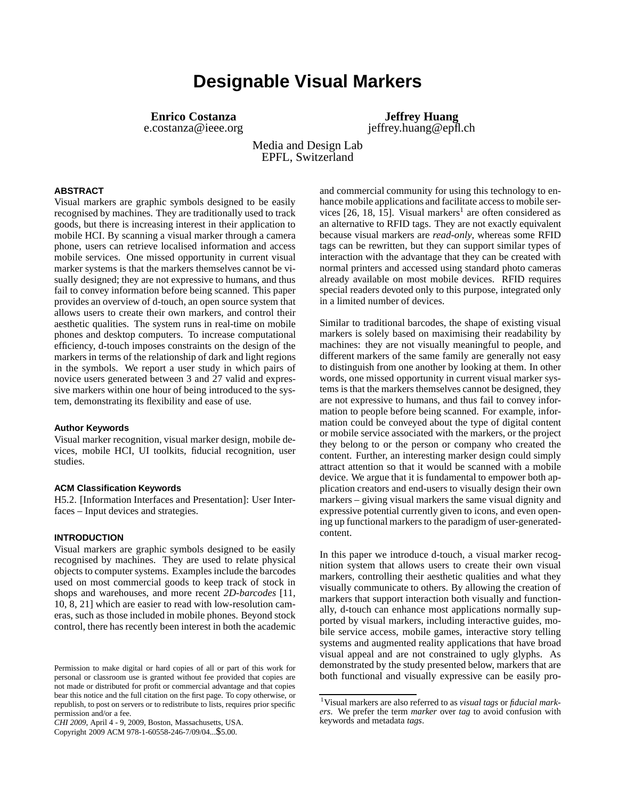# **Designable Visual Markers**

**Enrico Costanza** e.costanza@ieee.org

**Jeffrey Huang** jeffrey.huang@epfl.ch

Media and Design Lab EPFL, Switzerland

## **ABSTRACT**

Visual markers are graphic symbols designed to be easily recognised by machines. They are traditionally used to track goods, but there is increasing interest in their application to mobile HCI. By scanning a visual marker through a camera phone, users can retrieve localised information and access mobile services. One missed opportunity in current visual marker systems is that the markers themselves cannot be visually designed; they are not expressive to humans, and thus fail to convey information before being scanned. This paper provides an overview of d-touch, an open source system that allows users to create their own markers, and control their aesthetic qualities. The system runs in real-time on mobile phones and desktop computers. To increase computational efficiency, d-touch imposes constraints on the design of the markers in terms of the relationship of dark and light regions in the symbols. We report a user study in which pairs of novice users generated between 3 and 27 valid and expressive markers within one hour of being introduced to the system, demonstrating its flexibility and ease of use.

## **Author Keywords**

Visual marker recognition, visual marker design, mobile devices, mobile HCI, UI toolkits, fiducial recognition, user studies.

## **ACM Classification Keywords**

H5.2. [Information Interfaces and Presentation]: User Interfaces – Input devices and strategies.

# **INTRODUCTION**

Visual markers are graphic symbols designed to be easily recognised by machines. They are used to relate physical objects to computer systems. Examples include the barcodes used on most commercial goods to keep track of stock in shops and warehouses, and more recent *2D-barcodes* [11, 10, 8, 21] which are easier to read with low-resolution cameras, such as those included in mobile phones. Beyond stock control, there has recently been interest in both the academic

Copyright 2009 ACM 978-1-60558-246-7/09/04...\$5.00.

and commercial community for using this technology to enhance mobile applications and facilitate access to mobile services  $[26, 18, 15]$ . Visual markers<sup>1</sup> are often considered as an alternative to RFID tags. They are not exactly equivalent because visual markers are *read-only*, whereas some RFID tags can be rewritten, but they can support similar types of interaction with the advantage that they can be created with normal printers and accessed using standard photo cameras already available on most mobile devices. RFID requires special readers devoted only to this purpose, integrated only in a limited number of devices.

Similar to traditional barcodes, the shape of existing visual markers is solely based on maximising their readability by machines: they are not visually meaningful to people, and different markers of the same family are generally not easy to distinguish from one another by looking at them. In other words, one missed opportunity in current visual marker systems is that the markers themselves cannot be designed, they are not expressive to humans, and thus fail to convey information to people before being scanned. For example, information could be conveyed about the type of digital content or mobile service associated with the markers, or the project they belong to or the person or company who created the content. Further, an interesting marker design could simply attract attention so that it would be scanned with a mobile device. We argue that it is fundamental to empower both application creators and end-users to visually design their own markers – giving visual markers the same visual dignity and expressive potential currently given to icons, and even opening up functional markers to the paradigm of user-generatedcontent.

In this paper we introduce d-touch, a visual marker recognition system that allows users to create their own visual markers, controlling their aesthetic qualities and what they visually communicate to others. By allowing the creation of markers that support interaction both visually and functionally, d-touch can enhance most applications normally supported by visual markers, including interactive guides, mobile service access, mobile games, interactive story telling systems and augmented reality applications that have broad visual appeal and are not constrained to ugly glyphs. As demonstrated by the study presented below, markers that are both functional and visually expressive can be easily pro-

Permission to make digital or hard copies of all or part of this work for personal or classroom use is granted without fee provided that copies are not made or distributed for profit or commercial advantage and that copies bear this notice and the full citation on the first page. To copy otherwise, or republish, to post on servers or to redistribute to lists, requires prior specific permission and/or a fee.

*CHI 2009*, April 4 - 9, 2009, Boston, Massachusetts, USA.

<sup>1</sup>Visual markers are also referred to as *visual tags* or *fiducial markers*. We prefer the term *marker* over *tag* to avoid confusion with keywords and metadata *tags*.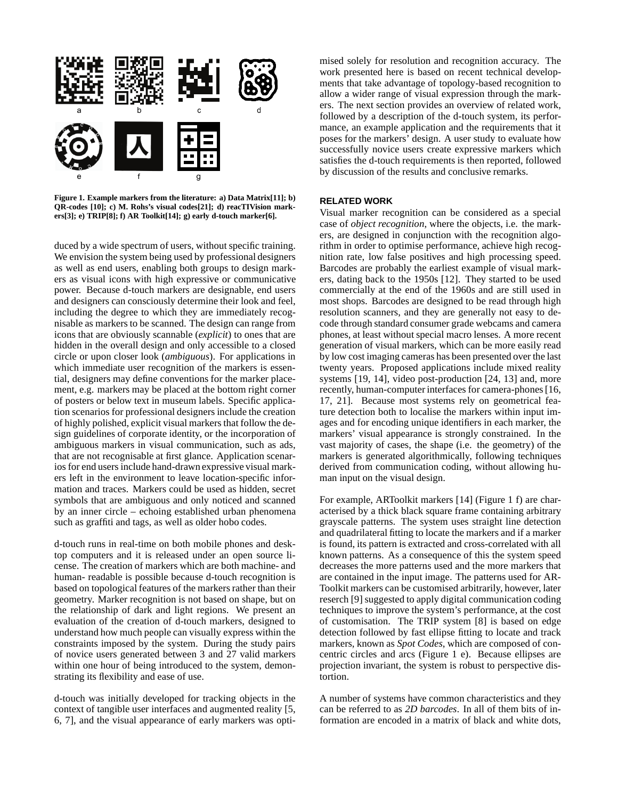

**Figure 1. Example markers from the literature: a) Data Matrix[11]; b) QR-codes [10]; c) M. Rohs's visual codes[21]; d) reacTIVision markers[3]; e) TRIP[8]; f) AR Toolkit[14]; g) early d-touch marker[6].**

duced by a wide spectrum of users, without specific training. We envision the system being used by professional designers as well as end users, enabling both groups to design markers as visual icons with high expressive or communicative power. Because d-touch markers are designable, end users and designers can consciously determine their look and feel, including the degree to which they are immediately recognisable as markers to be scanned. The design can range from icons that are obviously scannable (*explicit*) to ones that are hidden in the overall design and only accessible to a closed circle or upon closer look (*ambiguous*). For applications in which immediate user recognition of the markers is essential, designers may define conventions for the marker placement, e.g. markers may be placed at the bottom right corner of posters or below text in museum labels. Specific application scenarios for professional designers include the creation of highly polished, explicit visual markers that follow the design guidelines of corporate identity, or the incorporation of ambiguous markers in visual communication, such as ads, that are not recognisable at first glance. Application scenarios for end users include hand-drawn expressive visual markers left in the environment to leave location-specific information and traces. Markers could be used as hidden, secret symbols that are ambiguous and only noticed and scanned by an inner circle – echoing established urban phenomena such as graffiti and tags, as well as older hobo codes.

d-touch runs in real-time on both mobile phones and desktop computers and it is released under an open source license. The creation of markers which are both machine- and human- readable is possible because d-touch recognition is based on topological features of the markers rather than their geometry. Marker recognition is not based on shape, but on the relationship of dark and light regions. We present an evaluation of the creation of d-touch markers, designed to understand how much people can visually express within the constraints imposed by the system. During the study pairs of novice users generated between 3 and 27 valid markers within one hour of being introduced to the system, demonstrating its flexibility and ease of use.

d-touch was initially developed for tracking objects in the context of tangible user interfaces and augmented reality [5, 6, 7], and the visual appearance of early markers was optimised solely for resolution and recognition accuracy. The work presented here is based on recent technical developments that take advantage of topology-based recognition to allow a wider range of visual expression through the markers. The next section provides an overview of related work, followed by a description of the d-touch system, its performance, an example application and the requirements that it poses for the markers' design. A user study to evaluate how successfully novice users create expressive markers which satisfies the d-touch requirements is then reported, followed by discussion of the results and conclusive remarks.

# **RELATED WORK**

Visual marker recognition can be considered as a special case of *object recognition*, where the objects, i.e. the markers, are designed in conjunction with the recognition algorithm in order to optimise performance, achieve high recognition rate, low false positives and high processing speed. Barcodes are probably the earliest example of visual markers, dating back to the 1950s [12]. They started to be used commercially at the end of the 1960s and are still used in most shops. Barcodes are designed to be read through high resolution scanners, and they are generally not easy to decode through standard consumer grade webcams and camera phones, at least without special macro lenses. A more recent generation of visual markers, which can be more easily read by low cost imaging cameras has been presented over the last twenty years. Proposed applications include mixed reality systems [19, 14], video post-production [24, 13] and, more recently, human-computer interfaces for camera-phones [16, 17, 21]. Because most systems rely on geometrical feature detection both to localise the markers within input images and for encoding unique identifiers in each marker, the markers' visual appearance is strongly constrained. In the vast majority of cases, the shape (i.e. the geometry) of the markers is generated algorithmically, following techniques derived from communication coding, without allowing human input on the visual design.

For example, ARToolkit markers [14] (Figure 1 f) are characterised by a thick black square frame containing arbitrary grayscale patterns. The system uses straight line detection and quadrilateral fitting to locate the markers and if a marker is found, its pattern is extracted and cross-correlated with all known patterns. As a consequence of this the system speed decreases the more patterns used and the more markers that are contained in the input image. The patterns used for AR-Toolkit markers can be customised arbitrarily, however, later reserch [9] suggested to apply digital communication coding techniques to improve the system's performance, at the cost of customisation. The TRIP system [8] is based on edge detection followed by fast ellipse fitting to locate and track markers, known as *Spot Codes*, which are composed of concentric circles and arcs (Figure 1 e). Because ellipses are projection invariant, the system is robust to perspective distortion.

A number of systems have common characteristics and they can be referred to as *2D barcodes*. In all of them bits of information are encoded in a matrix of black and white dots,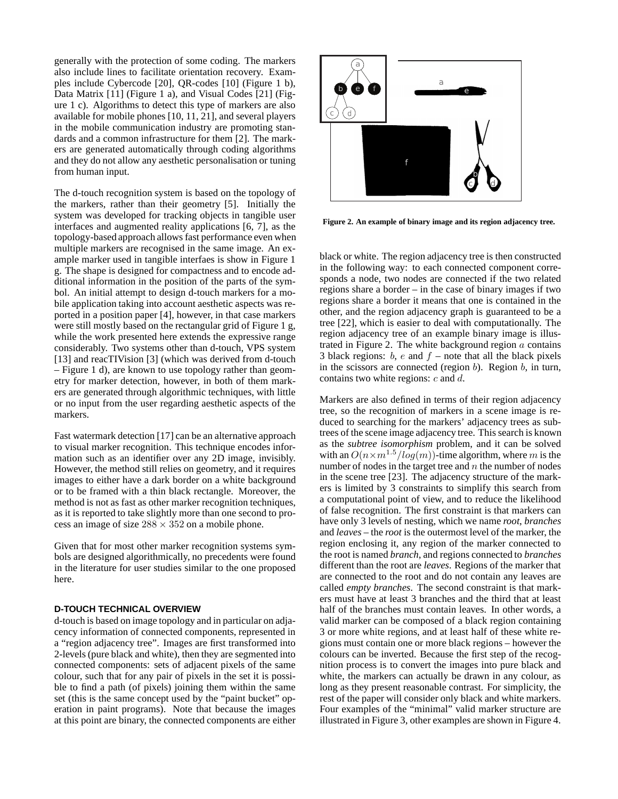generally with the protection of some coding. The markers also include lines to facilitate orientation recovery. Examples include Cybercode [20], QR-codes [10] (Figure 1 b), Data Matrix [11] (Figure 1 a), and Visual Codes [21] (Figure 1 c). Algorithms to detect this type of markers are also available for mobile phones [10, 11, 21], and several players in the mobile communication industry are promoting standards and a common infrastructure for them [2]. The markers are generated automatically through coding algorithms and they do not allow any aesthetic personalisation or tuning from human input.

The d-touch recognition system is based on the topology of the markers, rather than their geometry [5]. Initially the system was developed for tracking objects in tangible user interfaces and augmented reality applications [6, 7], as the topology-based approach allows fast performance even when multiple markers are recognised in the same image. An example marker used in tangible interfaes is show in Figure 1 g. The shape is designed for compactness and to encode additional information in the position of the parts of the symbol. An initial attempt to design d-touch markers for a mobile application taking into account aesthetic aspects was reported in a position paper [4], however, in that case markers were still mostly based on the rectangular grid of Figure 1 g, while the work presented here extends the expressive range considerably. Two systems other than d-touch, VPS system [13] and reacTIVision [3] (which was derived from d-touch – Figure 1 d), are known to use topology rather than geometry for marker detection, however, in both of them markers are generated through algorithmic techniques, with little or no input from the user regarding aesthetic aspects of the markers.

Fast watermark detection [17] can be an alternative approach to visual marker recognition. This technique encodes information such as an identifier over any 2D image, invisibly. However, the method still relies on geometry, and it requires images to either have a dark border on a white background or to be framed with a thin black rectangle. Moreover, the method is not as fast as other marker recognition techniques, as it is reported to take slightly more than one second to process an image of size  $288 \times 352$  on a mobile phone.

Given that for most other marker recognition systems symbols are designed algorithmically, no precedents were found in the literature for user studies similar to the one proposed here.

## **D-TOUCH TECHNICAL OVERVIEW**

d-touch is based on image topology and in particular on adjacency information of connected components, represented in a "region adjacency tree". Images are first transformed into 2-levels (pure black and white), then they are segmented into connected components: sets of adjacent pixels of the same colour, such that for any pair of pixels in the set it is possible to find a path (of pixels) joining them within the same set (this is the same concept used by the "paint bucket" operation in paint programs). Note that because the images at this point are binary, the connected components are either



**Figure 2. An example of binary image and its region adjacency tree.**

black or white. The region adjacency tree is then constructed in the following way: to each connected component corresponds a node, two nodes are connected if the two related regions share a border – in the case of binary images if two regions share a border it means that one is contained in the other, and the region adjacency graph is guaranteed to be a tree [22], which is easier to deal with computationally. The region adjacency tree of an example binary image is illustrated in Figure 2. The white background region  $a$  contains 3 black regions:  $b$ ,  $e$  and  $f$  – note that all the black pixels in the scissors are connected (region  $b$ ). Region  $b$ , in turn, contains two white regions: c and d.

Markers are also defined in terms of their region adjacency tree, so the recognition of markers in a scene image is reduced to searching for the markers' adjacency trees as subtrees of the scene image adjacency tree. This search is known as the *subtree isomorphism* problem, and it can be solved with an  $O(n \times m^{1.5}/log(m))$ -time algorithm, where m is the number of nodes in the target tree and  $n$  the number of nodes in the scene tree [23]. The adjacency structure of the markers is limited by 3 constraints to simplify this search from a computational point of view, and to reduce the likelihood of false recognition. The first constraint is that markers can have only 3 levels of nesting, which we name *root*, *branches* and *leaves* – the *root* is the outermost level of the marker, the region enclosing it, any region of the marker connected to the root is named *branch*, and regions connected to *branches* different than the root are *leaves*. Regions of the marker that are connected to the root and do not contain any leaves are called *empty branches*. The second constraint is that markers must have at least 3 branches and the third that at least half of the branches must contain leaves. In other words, a valid marker can be composed of a black region containing 3 or more white regions, and at least half of these white regions must contain one or more black regions – however the colours can be inverted. Because the first step of the recognition process is to convert the images into pure black and white, the markers can actually be drawn in any colour, as long as they present reasonable contrast. For simplicity, the rest of the paper will consider only black and white markers. Four examples of the "minimal" valid marker structure are illustrated in Figure 3, other examples are shown in Figure 4.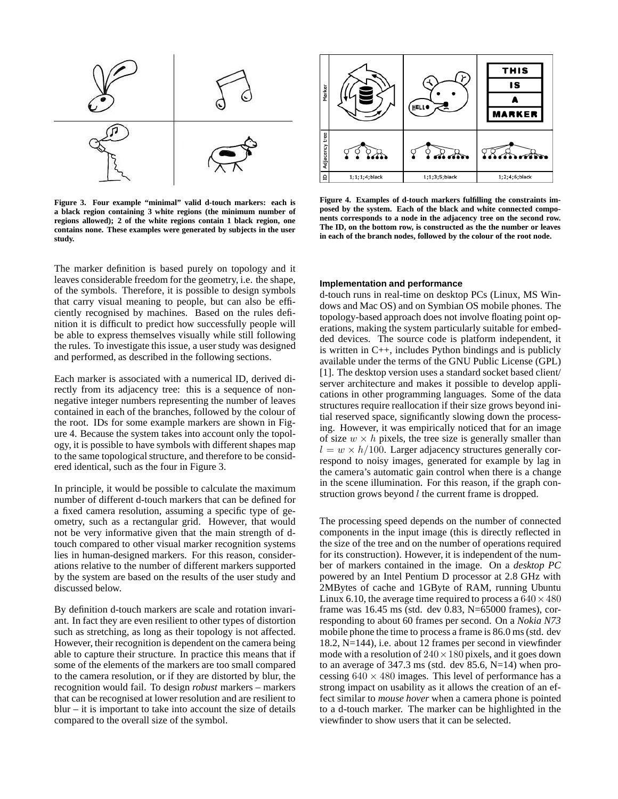

**Figure 3. Four example "minimal" valid d-touch markers: each is a black region containing 3 white regions (the minimum number of regions allowed); 2 of the white regions contain 1 black region, one contains none. These examples were generated by subjects in the user study.**

The marker definition is based purely on topology and it leaves considerable freedom for the geometry, i.e. the shape, of the symbols. Therefore, it is possible to design symbols that carry visual meaning to people, but can also be efficiently recognised by machines. Based on the rules definition it is difficult to predict how successfully people will be able to express themselves visually while still following the rules. To investigate this issue, a user study was designed and performed, as described in the following sections.

Each marker is associated with a numerical ID, derived directly from its adjacency tree: this is a sequence of nonnegative integer numbers representing the number of leaves contained in each of the branches, followed by the colour of the root. IDs for some example markers are shown in Figure 4. Because the system takes into account only the topology, it is possible to have symbols with different shapes map to the same topological structure, and therefore to be considered identical, such as the four in Figure 3.

In principle, it would be possible to calculate the maximum number of different d-touch markers that can be defined for a fixed camera resolution, assuming a specific type of geometry, such as a rectangular grid. However, that would not be very informative given that the main strength of dtouch compared to other visual marker recognition systems lies in human-designed markers. For this reason, considerations relative to the number of different markers supported by the system are based on the results of the user study and discussed below.

By definition d-touch markers are scale and rotation invariant. In fact they are even resilient to other types of distortion such as stretching, as long as their topology is not affected. However, their recognition is dependent on the camera being able to capture their structure. In practice this means that if some of the elements of the markers are too small compared to the camera resolution, or if they are distorted by blur, the recognition would fail. To design *robust* markers – markers that can be recognised at lower resolution and are resilient to blur – it is important to take into account the size of details compared to the overall size of the symbol.



**Figure 4. Examples of d-touch markers fulfilling the constraints imposed by the system. Each of the black and white connected components corresponds to a node in the adjacency tree on the second row. The ID, on the bottom row, is constructed as the the number or leaves in each of the branch nodes, followed by the colour of the root node.**

#### **Implementation and performance**

d-touch runs in real-time on desktop PCs (Linux, MS Windows and Mac OS) and on Symbian OS mobile phones. The topology-based approach does not involve floating point operations, making the system particularly suitable for embedded devices. The source code is platform independent, it is written in C++, includes Python bindings and is publicly available under the terms of the GNU Public License (GPL) [1]. The desktop version uses a standard socket based client/ server architecture and makes it possible to develop applications in other programming languages. Some of the data structures require reallocation if their size grows beyond initial reserved space, significantly slowing down the processing. However, it was empirically noticed that for an image of size  $w \times h$  pixels, the tree size is generally smaller than  $l = w \times h/100$ . Larger adjacency structures generally correspond to noisy images, generated for example by lag in the camera's automatic gain control when there is a change in the scene illumination. For this reason, if the graph construction grows beyond  $l$  the current frame is dropped.

The processing speed depends on the number of connected components in the input image (this is directly reflected in the size of the tree and on the number of operations required for its construction). However, it is independent of the number of markers contained in the image. On a *desktop PC* powered by an Intel Pentium D processor at 2.8 GHz with 2MBytes of cache and 1GByte of RAM, running Ubuntu Linux 6.10, the average time required to process a  $640 \times 480$ frame was 16.45 ms (std. dev 0.83, N=65000 frames), corresponding to about 60 frames per second. On a *Nokia N73* mobile phone the time to process a frame is 86.0 ms (std. dev 18.2, N=144), i.e. about 12 frames per second in viewfinder mode with a resolution of  $240 \times 180$  pixels, and it goes down to an average of  $347.3$  ms (std. dev  $85.6$ , N=14) when processing  $640 \times 480$  images. This level of performance has a strong impact on usability as it allows the creation of an effect similar to *mouse hover* when a camera phone is pointed to a d-touch marker. The marker can be highlighted in the viewfinder to show users that it can be selected.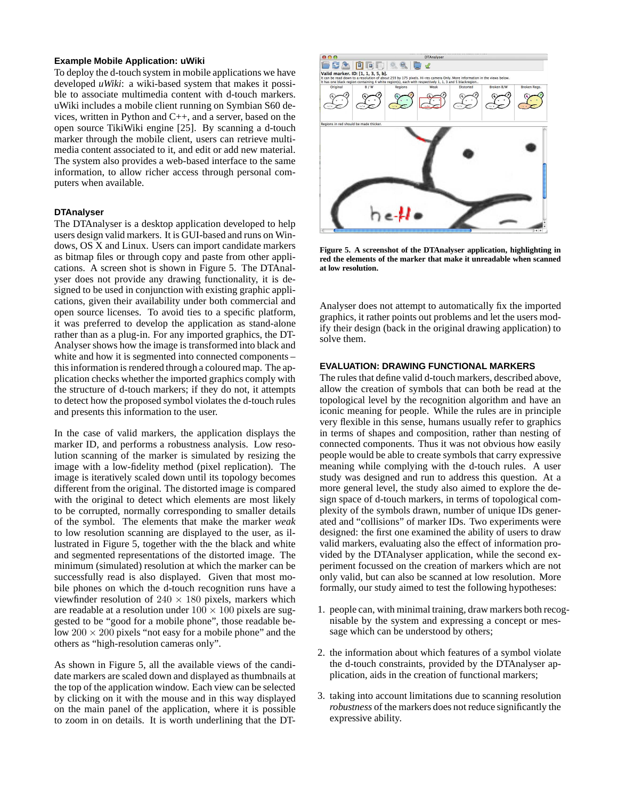# **Example Mobile Application: uWiki**

To deploy the d-touch system in mobile applications we have developed *uWiki*: a wiki-based system that makes it possible to associate multimedia content with d-touch markers. uWiki includes a mobile client running on Symbian S60 devices, written in Python and C++, and a server, based on the open source TikiWiki engine [25]. By scanning a d-touch marker through the mobile client, users can retrieve multimedia content associated to it, and edit or add new material. The system also provides a web-based interface to the same information, to allow richer access through personal computers when available.

#### **DTAnalyser**

The DTAnalyser is a desktop application developed to help users design valid markers. It is GUI-based and runs on Windows, OS X and Linux. Users can import candidate markers as bitmap files or through copy and paste from other applications. A screen shot is shown in Figure 5. The DTAnalyser does not provide any drawing functionality, it is designed to be used in conjunction with existing graphic applications, given their availability under both commercial and open source licenses. To avoid ties to a specific platform, it was preferred to develop the application as stand-alone rather than as a plug-in. For any imported graphics, the DT-Analyser shows how the image is transformed into black and white and how it is segmented into connected components – this information is rendered through a coloured map. The application checks whether the imported graphics comply with the structure of d-touch markers; if they do not, it attempts to detect how the proposed symbol violates the d-touch rules and presents this information to the user.

In the case of valid markers, the application displays the marker ID, and performs a robustness analysis. Low resolution scanning of the marker is simulated by resizing the image with a low-fidelity method (pixel replication). The image is iteratively scaled down until its topology becomes different from the original. The distorted image is compared with the original to detect which elements are most likely to be corrupted, normally corresponding to smaller details of the symbol. The elements that make the marker *weak* to low resolution scanning are displayed to the user, as illustrated in Figure 5, together with the the black and white and segmented representations of the distorted image. The minimum (simulated) resolution at which the marker can be successfully read is also displayed. Given that most mobile phones on which the d-touch recognition runs have a viewfinder resolution of  $240 \times 180$  pixels, markers which are readable at a resolution under  $100 \times 100$  pixels are suggested to be "good for a mobile phone", those readable below  $200 \times 200$  pixels "not easy for a mobile phone" and the others as "high-resolution cameras only".

As shown in Figure 5, all the available views of the candidate markers are scaled down and displayed as thumbnails at the top of the application window. Each view can be selected by clicking on it with the mouse and in this way displayed on the main panel of the application, where it is possible to zoom in on details. It is worth underlining that the DT-



**Figure 5. A screenshot of the DTAnalyser application, highlighting in red the elements of the marker that make it unreadable when scanned at low resolution.**

Analyser does not attempt to automatically fix the imported graphics, it rather points out problems and let the users modify their design (back in the original drawing application) to solve them.

# **EVALUATION: DRAWING FUNCTIONAL MARKERS**

The rules that define valid d-touch markers, described above, allow the creation of symbols that can both be read at the topological level by the recognition algorithm and have an iconic meaning for people. While the rules are in principle very flexible in this sense, humans usually refer to graphics in terms of shapes and composition, rather than nesting of connected components. Thus it was not obvious how easily people would be able to create symbols that carry expressive meaning while complying with the d-touch rules. A user study was designed and run to address this question. At a more general level, the study also aimed to explore the design space of d-touch markers, in terms of topological complexity of the symbols drawn, number of unique IDs generated and "collisions" of marker IDs. Two experiments were designed: the first one examined the ability of users to draw valid markers, evaluating also the effect of information provided by the DTAnalyser application, while the second experiment focussed on the creation of markers which are not only valid, but can also be scanned at low resolution. More formally, our study aimed to test the following hypotheses:

- 1. people can, with minimal training, draw markers both recognisable by the system and expressing a concept or message which can be understood by others;
- 2. the information about which features of a symbol violate the d-touch constraints, provided by the DTAnalyser application, aids in the creation of functional markers;
- 3. taking into account limitations due to scanning resolution *robustness* of the markers does not reduce significantly the expressive ability.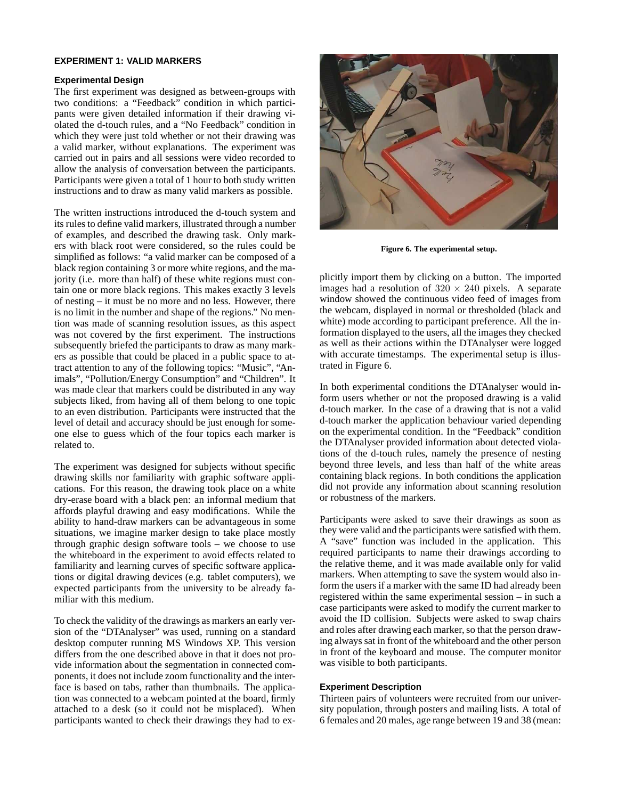# **EXPERIMENT 1: VALID MARKERS**

# **Experimental Design**

The first experiment was designed as between-groups with two conditions: a "Feedback" condition in which participants were given detailed information if their drawing violated the d-touch rules, and a "No Feedback" condition in which they were just told whether or not their drawing was a valid marker, without explanations. The experiment was carried out in pairs and all sessions were video recorded to allow the analysis of conversation between the participants. Participants were given a total of 1 hour to both study written instructions and to draw as many valid markers as possible.

The written instructions introduced the d-touch system and its rules to define valid markers, illustrated through a number of examples, and described the drawing task. Only markers with black root were considered, so the rules could be simplified as follows: "a valid marker can be composed of a black region containing 3 or more white regions, and the majority (i.e. more than half) of these white regions must contain one or more black regions. This makes exactly 3 levels of nesting – it must be no more and no less. However, there is no limit in the number and shape of the regions." No mention was made of scanning resolution issues, as this aspect was not covered by the first experiment. The instructions subsequently briefed the participants to draw as many markers as possible that could be placed in a public space to attract attention to any of the following topics: "Music", "Animals", "Pollution/Energy Consumption" and "Children". It was made clear that markers could be distributed in any way subjects liked, from having all of them belong to one topic to an even distribution. Participants were instructed that the level of detail and accuracy should be just enough for someone else to guess which of the four topics each marker is related to.

The experiment was designed for subjects without specific drawing skills nor familiarity with graphic software applications. For this reason, the drawing took place on a white dry-erase board with a black pen: an informal medium that affords playful drawing and easy modifications. While the ability to hand-draw markers can be advantageous in some situations, we imagine marker design to take place mostly through graphic design software tools – we choose to use the whiteboard in the experiment to avoid effects related to familiarity and learning curves of specific software applications or digital drawing devices (e.g. tablet computers), we expected participants from the university to be already familiar with this medium.

To check the validity of the drawings as markers an early version of the "DTAnalyser" was used, running on a standard desktop computer running MS Windows XP. This version differs from the one described above in that it does not provide information about the segmentation in connected components, it does not include zoom functionality and the interface is based on tabs, rather than thumbnails. The application was connected to a webcam pointed at the board, firmly attached to a desk (so it could not be misplaced). When participants wanted to check their drawings they had to ex-



**Figure 6. The experimental setup.**

plicitly import them by clicking on a button. The imported images had a resolution of  $320 \times 240$  pixels. A separate window showed the continuous video feed of images from the webcam, displayed in normal or thresholded (black and white) mode according to participant preference. All the information displayed to the users, all the images they checked as well as their actions within the DTAnalyser were logged with accurate timestamps. The experimental setup is illustrated in Figure 6.

In both experimental conditions the DTAnalyser would inform users whether or not the proposed drawing is a valid d-touch marker. In the case of a drawing that is not a valid d-touch marker the application behaviour varied depending on the experimental condition. In the "Feedback" condition the DTAnalyser provided information about detected violations of the d-touch rules, namely the presence of nesting beyond three levels, and less than half of the white areas containing black regions. In both conditions the application did not provide any information about scanning resolution or robustness of the markers.

Participants were asked to save their drawings as soon as they were valid and the participants were satisfied with them. A "save" function was included in the application. This required participants to name their drawings according to the relative theme, and it was made available only for valid markers. When attempting to save the system would also inform the users if a marker with the same ID had already been registered within the same experimental session – in such a case participants were asked to modify the current marker to avoid the ID collision. Subjects were asked to swap chairs and roles after drawing each marker, so that the person drawing always sat in front of the whiteboard and the other person in front of the keyboard and mouse. The computer monitor was visible to both participants.

# **Experiment Description**

Thirteen pairs of volunteers were recruited from our university population, through posters and mailing lists. A total of 6 females and 20 males, age range between 19 and 38 (mean: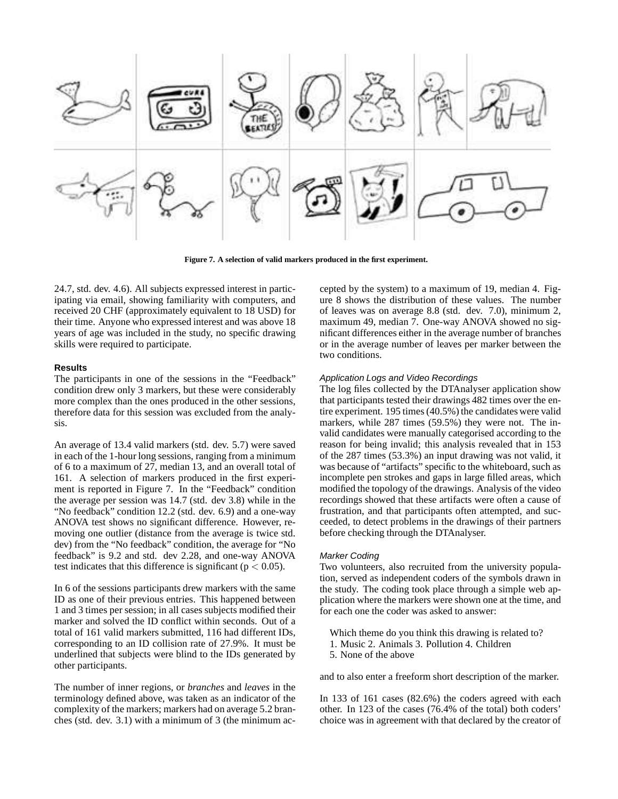

**Figure 7. A selection of valid markers produced in the first experiment.**

24.7, std. dev. 4.6). All subjects expressed interest in participating via email, showing familiarity with computers, and received 20 CHF (approximately equivalent to 18 USD) for their time. Anyone who expressed interest and was above 18 years of age was included in the study, no specific drawing skills were required to participate.

## **Results**

The participants in one of the sessions in the "Feedback" condition drew only 3 markers, but these were considerably more complex than the ones produced in the other sessions, therefore data for this session was excluded from the analysis.

An average of 13.4 valid markers (std. dev. 5.7) were saved in each of the 1-hour long sessions, ranging from a minimum of 6 to a maximum of 27, median 13, and an overall total of 161. A selection of markers produced in the first experiment is reported in Figure 7. In the "Feedback" condition the average per session was 14.7 (std. dev 3.8) while in the "No feedback" condition 12.2 (std. dev. 6.9) and a one-way ANOVA test shows no significant difference. However, removing one outlier (distance from the average is twice std. dev) from the "No feedback" condition, the average for "No feedback" is 9.2 and std. dev 2.28, and one-way ANOVA test indicates that this difference is significant ( $p < 0.05$ ).

In 6 of the sessions participants drew markers with the same ID as one of their previous entries. This happened between 1 and 3 times per session; in all cases subjects modified their marker and solved the ID conflict within seconds. Out of a total of 161 valid markers submitted, 116 had different IDs, corresponding to an ID collision rate of 27.9%. It must be underlined that subjects were blind to the IDs generated by other participants.

The number of inner regions, or *branches* and *leaves* in the terminology defined above, was taken as an indicator of the complexity of the markers; markers had on average 5.2 branches (std. dev. 3.1) with a minimum of 3 (the minimum accepted by the system) to a maximum of 19, median 4. Figure 8 shows the distribution of these values. The number of leaves was on average 8.8 (std. dev. 7.0), minimum 2, maximum 49, median 7. One-way ANOVA showed no significant differences either in the average number of branches or in the average number of leaves per marker between the two conditions.

#### Application Logs and Video Recordings

The log files collected by the DTAnalyser application show that participants tested their drawings 482 times over the entire experiment. 195 times (40.5%) the candidates were valid markers, while 287 times (59.5%) they were not. The invalid candidates were manually categorised according to the reason for being invalid; this analysis revealed that in 153 of the 287 times (53.3%) an input drawing was not valid, it was because of "artifacts" specific to the whiteboard, such as incomplete pen strokes and gaps in large filled areas, which modified the topology of the drawings. Analysis of the video recordings showed that these artifacts were often a cause of frustration, and that participants often attempted, and succeeded, to detect problems in the drawings of their partners before checking through the DTAnalyser.

#### Marker Coding

Two volunteers, also recruited from the university population, served as independent coders of the symbols drawn in the study. The coding took place through a simple web application where the markers were shown one at the time, and for each one the coder was asked to answer:

Which theme do you think this drawing is related to? 1. Music 2. Animals 3. Pollution 4. Children

5. None of the above

and to also enter a freeform short description of the marker.

In 133 of 161 cases (82.6%) the coders agreed with each other. In 123 of the cases (76.4% of the total) both coders' choice was in agreement with that declared by the creator of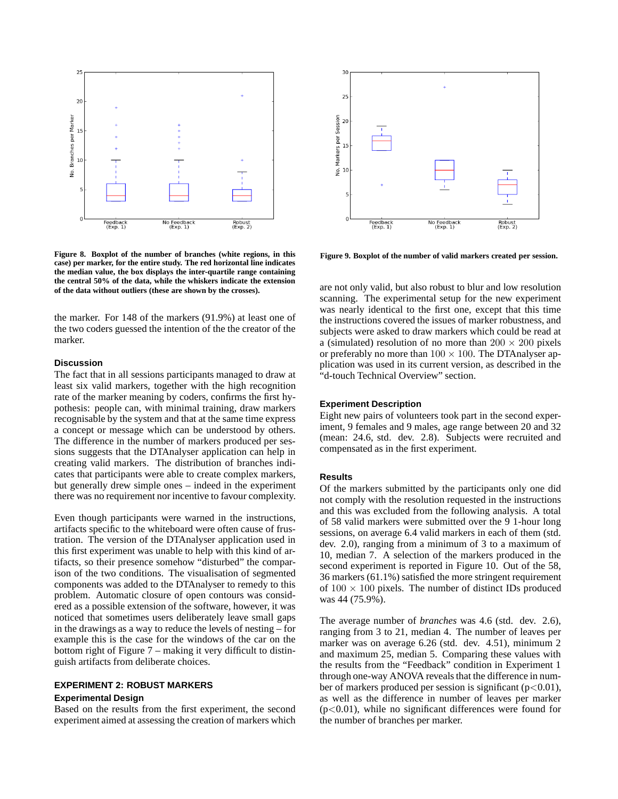

**Figure 8. Boxplot of the number of branches (white regions, in this case) per marker, for the entire study. The red horizontal line indicates the median value, the box displays the inter-quartile range containing the central 50% of the data, while the whiskers indicate the extension of the data without outliers (these are shown by the crosses).**

the marker. For 148 of the markers (91.9%) at least one of the two coders guessed the intention of the the creator of the marker.

### **Discussion**

The fact that in all sessions participants managed to draw at least six valid markers, together with the high recognition rate of the marker meaning by coders, confirms the first hypothesis: people can, with minimal training, draw markers recognisable by the system and that at the same time express a concept or message which can be understood by others. The difference in the number of markers produced per sessions suggests that the DTAnalyser application can help in creating valid markers. The distribution of branches indicates that participants were able to create complex markers, but generally drew simple ones – indeed in the experiment there was no requirement nor incentive to favour complexity.

Even though participants were warned in the instructions, artifacts specific to the whiteboard were often cause of frustration. The version of the DTAnalyser application used in this first experiment was unable to help with this kind of artifacts, so their presence somehow "disturbed" the comparison of the two conditions. The visualisation of segmented components was added to the DTAnalyser to remedy to this problem. Automatic closure of open contours was considered as a possible extension of the software, however, it was noticed that sometimes users deliberately leave small gaps in the drawings as a way to reduce the levels of nesting – for example this is the case for the windows of the car on the bottom right of Figure 7 – making it very difficult to distinguish artifacts from deliberate choices.

## **EXPERIMENT 2: ROBUST MARKERS**

## **Experimental Design**

Based on the results from the first experiment, the second experiment aimed at assessing the creation of markers which



**Figure 9. Boxplot of the number of valid markers created per session.**

are not only valid, but also robust to blur and low resolution scanning. The experimental setup for the new experiment was nearly identical to the first one, except that this time the instructions covered the issues of marker robustness, and subjects were asked to draw markers which could be read at a (simulated) resolution of no more than  $200 \times 200$  pixels or preferably no more than  $100 \times 100$ . The DTAnalyser application was used in its current version, as described in the "d-touch Technical Overview" section.

## **Experiment Description**

Eight new pairs of volunteers took part in the second experiment, 9 females and 9 males, age range between 20 and 32 (mean: 24.6, std. dev. 2.8). Subjects were recruited and compensated as in the first experiment.

#### **Results**

Of the markers submitted by the participants only one did not comply with the resolution requested in the instructions and this was excluded from the following analysis. A total of 58 valid markers were submitted over the 9 1-hour long sessions, on average 6.4 valid markers in each of them (std. dev. 2.0), ranging from a minimum of 3 to a maximum of 10, median 7. A selection of the markers produced in the second experiment is reported in Figure 10. Out of the 58, 36 markers (61.1%) satisfied the more stringent requirement of  $100 \times 100$  pixels. The number of distinct IDs produced was 44 (75.9%).

The average number of *branches* was 4.6 (std. dev. 2.6), ranging from 3 to 21, median 4. The number of leaves per marker was on average 6.26 (std. dev. 4.51), minimum 2 and maximum 25, median 5. Comparing these values with the results from the "Feedback" condition in Experiment 1 through one-way ANOVA reveals that the difference in number of markers produced per session is significant  $(p<0.01)$ , as well as the difference in number of leaves per marker  $(p<0.01)$ , while no significant differences were found for the number of branches per marker.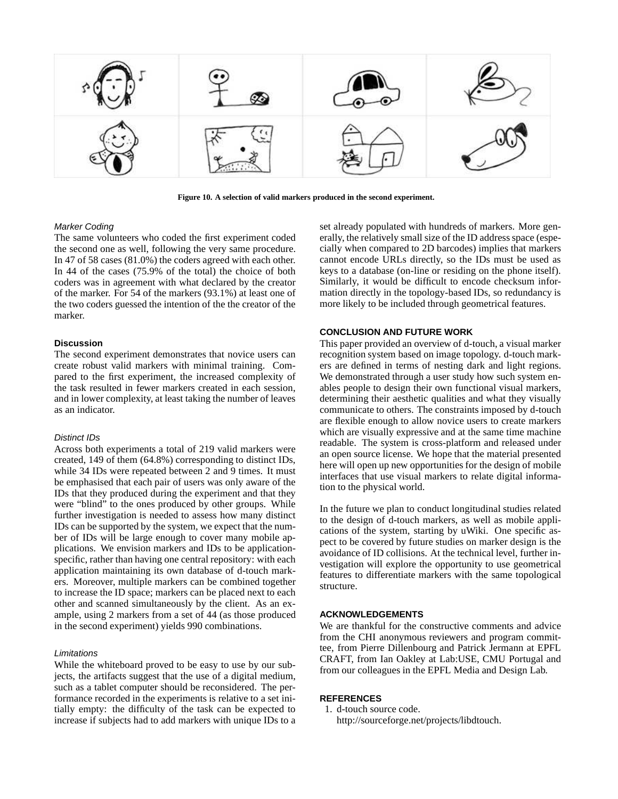

**Figure 10. A selection of valid markers produced in the second experiment.**

# Marker Coding

The same volunteers who coded the first experiment coded the second one as well, following the very same procedure. In 47 of 58 cases (81.0%) the coders agreed with each other. In 44 of the cases (75.9% of the total) the choice of both coders was in agreement with what declared by the creator of the marker. For 54 of the markers (93.1%) at least one of the two coders guessed the intention of the the creator of the marker.

# **Discussion**

The second experiment demonstrates that novice users can create robust valid markers with minimal training. Compared to the first experiment, the increased complexity of the task resulted in fewer markers created in each session, and in lower complexity, at least taking the number of leaves as an indicator.

# Distinct IDs

Across both experiments a total of 219 valid markers were created, 149 of them (64.8%) corresponding to distinct IDs, while 34 IDs were repeated between 2 and 9 times. It must be emphasised that each pair of users was only aware of the IDs that they produced during the experiment and that they were "blind" to the ones produced by other groups. While further investigation is needed to assess how many distinct IDs can be supported by the system, we expect that the number of IDs will be large enough to cover many mobile applications. We envision markers and IDs to be applicationspecific, rather than having one central repository: with each application maintaining its own database of d-touch markers. Moreover, multiple markers can be combined together to increase the ID space; markers can be placed next to each other and scanned simultaneously by the client. As an example, using 2 markers from a set of 44 (as those produced in the second experiment) yields 990 combinations.

## **Limitations**

While the whiteboard proved to be easy to use by our subjects, the artifacts suggest that the use of a digital medium, such as a tablet computer should be reconsidered. The performance recorded in the experiments is relative to a set initially empty: the difficulty of the task can be expected to increase if subjects had to add markers with unique IDs to a set already populated with hundreds of markers. More generally, the relatively small size of the ID address space (especially when compared to 2D barcodes) implies that markers cannot encode URLs directly, so the IDs must be used as keys to a database (on-line or residing on the phone itself). Similarly, it would be difficult to encode checksum information directly in the topology-based IDs, so redundancy is more likely to be included through geometrical features.

# **CONCLUSION AND FUTURE WORK**

This paper provided an overview of d-touch, a visual marker recognition system based on image topology. d-touch markers are defined in terms of nesting dark and light regions. We demonstrated through a user study how such system enables people to design their own functional visual markers, determining their aesthetic qualities and what they visually communicate to others. The constraints imposed by d-touch are flexible enough to allow novice users to create markers which are visually expressive and at the same time machine readable. The system is cross-platform and released under an open source license. We hope that the material presented here will open up new opportunities for the design of mobile interfaces that use visual markers to relate digital information to the physical world.

In the future we plan to conduct longitudinal studies related to the design of d-touch markers, as well as mobile applications of the system, starting by uWiki. One specific aspect to be covered by future studies on marker design is the avoidance of ID collisions. At the technical level, further investigation will explore the opportunity to use geometrical features to differentiate markers with the same topological structure.

# **ACKNOWLEDGEMENTS**

We are thankful for the constructive comments and advice from the CHI anonymous reviewers and program committee, from Pierre Dillenbourg and Patrick Jermann at EPFL CRAFT, from Ian Oakley at Lab:USE, CMU Portugal and from our colleagues in the EPFL Media and Design Lab.

# **REFERENCES**

- 1. d-touch source code.
	- http://sourceforge.net/projects/libdtouch.